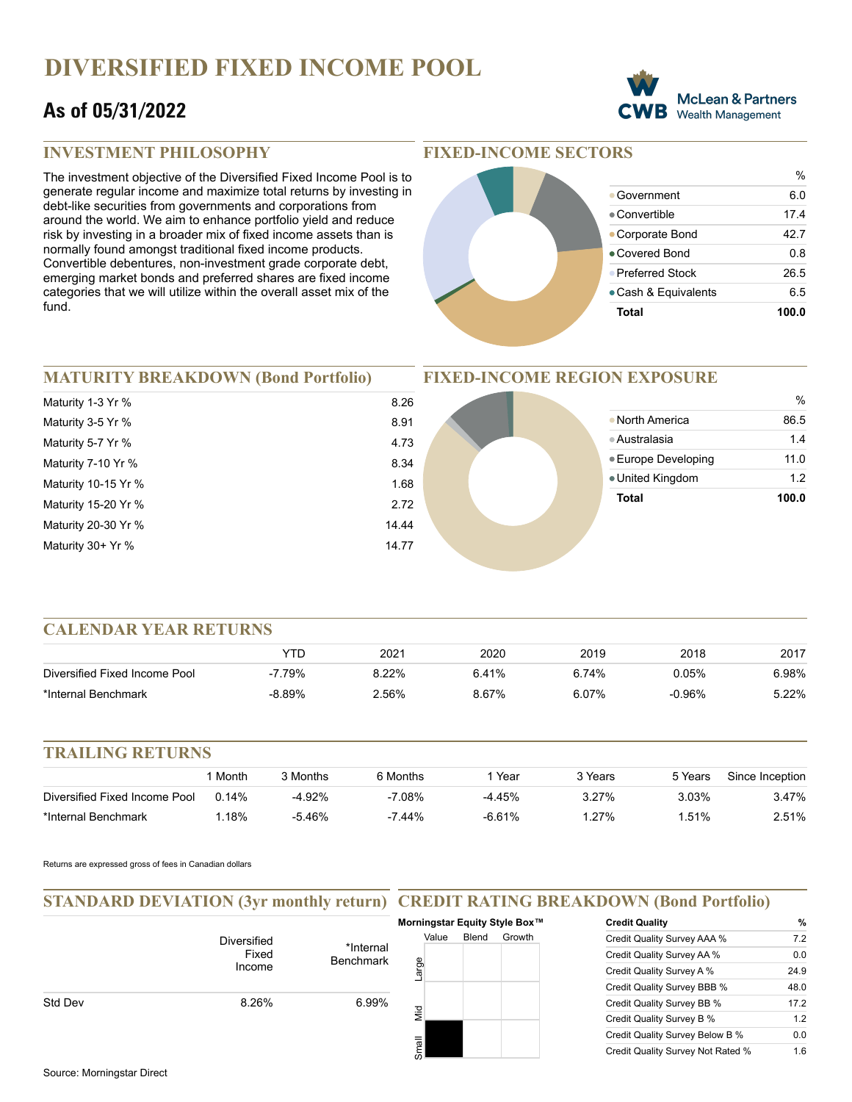# **DIVERSIFIED FIXED INCOME POOL**

# **As of 05/31/2022**



### **INVESTMENT PHILOSOPHY**

The investment objective of the Diversified Fixed Income Pool is to generate regular income and maximize total returns by investing in debt-like securities from governments and corporations from around the world. We aim to enhance portfolio yield and reduce risk by investing in a broader mix of fixed income assets than is normally found amongst traditional fixed income products. Convertible debentures, non-investment grade corporate debt, emerging market bonds and preferred shares are fixed income categories that we will utilize within the overall asset mix of the fund.

### **FIXED-INCOME SECTORS**



## **MATURITY BREAKDOWN (Bond Portfolio)**

| Maturity 1-3 Yr %   | 8              |
|---------------------|----------------|
| Maturity 3-5 Yr %   | 8              |
| Maturity 5-7 Yr %   | $\overline{4}$ |
| Maturity 7-10 Yr %  | 8              |
| Maturity 10-15 Yr % | 1              |
| Maturity 15-20 Yr % | $\overline{2}$ |
| Maturity 20-30 Yr % | 14             |
| Maturity 30+ Yr %   | 14             |
|                     |                |

#### **FIXED-INCOME REGION EXPOSURE**



#### **CALENDAR YEAR RETURNS**

|                               | YTD      | 2021     | 2020  | 2019  | 2018      | 2017  |
|-------------------------------|----------|----------|-------|-------|-----------|-------|
| Diversified Fixed Income Pool | 7.79%    | 8.22%    | 6.41% | 6.74% | 0.05%     | 6.98% |
| *Internal Benchmark           | $-8.89%$ | $2.56\%$ | 8.67% | 6.07% | $-0.96\%$ | 5.22% |

#### **TRAILING RETURNS**

|                               | Month    | 3 Months  | 6 Months  | Year     | 3 Years | 5 Years | Since Inception |
|-------------------------------|----------|-----------|-----------|----------|---------|---------|-----------------|
| Diversified Fixed Income Pool | $0.14\%$ | $-4.92\%$ | $-7.08\%$ | -4.45%   | 3.27%   | 3.03%   | 3.47%           |
| *Internal Benchmark           | 18%      | -5.46%    | $-7.44%$  | $-6.61%$ | 127%    | .51%    | 2.51%           |

Returns are expressed gross of fees in Canadian dollars

#### **STANDARD DEVIATION (3yr monthly return) CREDIT RATING BREAKDOWN (Bond Portfolio)**

|         |                                       |                               | Morningstar Equity Style Box™ |       |        |
|---------|---------------------------------------|-------------------------------|-------------------------------|-------|--------|
|         | <b>Diversified</b><br>Fixed<br>Income | *Internal<br><b>Benchmark</b> | Value<br>Large                | Blend | Growth |
| Std Dev | 8.26%                                 | 6.99%                         | Mid                           |       |        |
|         |                                       |                               | Small                         |       |        |

| <b>Credit Quality</b>             | %    |
|-----------------------------------|------|
| Credit Quality Survey AAA %       | 7.2  |
| Credit Quality Survey AA %        | 0.0  |
| Credit Quality Survey A %         | 24.9 |
| Credit Quality Survey BBB %       | 48.0 |
| Credit Quality Survey BB %        | 17.2 |
| Credit Quality Survey B %         | 1.2  |
| Credit Quality Survey Below B %   | 0.0  |
| Credit Quality Survey Not Rated % | 1.6  |